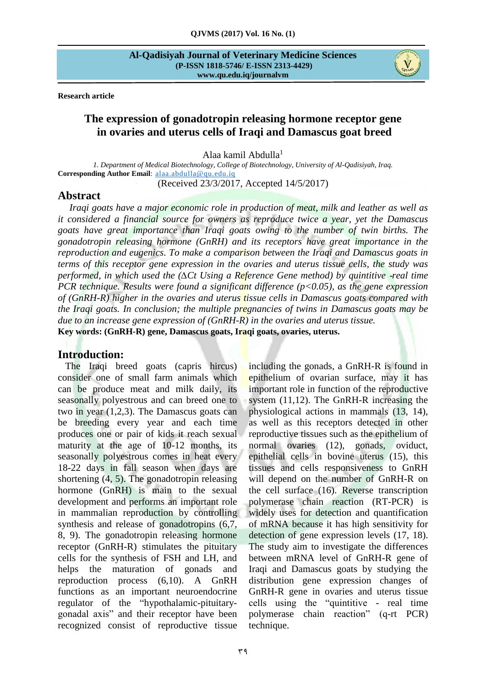**Research article** 

# **The expression of gonadotropin releasing hormone receptor gene in ovaries and uterus cells of Iraqi and Damascus goat breed**

Alaa kamil Abdulla<sup>1</sup>

*1. Department of Medical Biotechnology, College of Biotechnology, University of Al-Qadisiyah, Iraq.* **Corresponding Author Email**: [alaa.abdulla@qu.edu.iq](mailto:alaa.abdulla@qu.edu.iq)

(Received 23/3/2017, Accepted 14/5/2017)

# **Abstract**

*Iraqi goats have a major economic role in production of meat, milk and leather as well as it considered a financial source for owners as reproduce twice a year, yet the Damascus goats have great importance than Iraqi goats owing to the number of twin births. The gonadotropin releasing hormone (GnRH) and its receptors have great importance in the reproduction and eugenics. To make a comparison between the Iraqi and Damascus goats in terms of this receptor gene expression in the ovaries and uterus tissue cells, the study was performed, in which used the (∆Ct Using a Reference Gene method) by quintitive -real time PCR technique. Results were found a significant difference (p<0.05), as the gene expression of (GnRH-R) higher in the ovaries and uterus tissue cells in Damascus goats compared with the Iraqi goats. In conclusion; the multiple pregnancies of twins in Damascus goats may be due to an increase gene expression of (GnRH-R) in the ovaries and uterus tissue.* **Key words: (GnRH-R) gene, Damascus goats, Iraqi goats, ovaries, uterus.** 

# **Introduction:**

 The Iraqi breed goats (capris hircus) consider one of small farm animals which can be produce meat and milk daily, its seasonally polyestrous and can breed one to two in year (1,2,3). The Damascus goats can be breeding every year and each time produces one or pair of kids it reach sexual maturity at the age of 10-12 months, its seasonally polyestrous comes in heat every 18-22 days in fall season when days are shortening (4, 5). The gonadotropin releasing hormone (GnRH) is main to the sexual development and performs an important role in mammalian reproduction by controlling synthesis and release of gonadotropins (6,7, 8, 9). The gonadotropin releasing hormone receptor (GnRH-R) stimulates the pituitary cells for the synthesis of FSH and LH, and helps the maturation of gonads and reproduction process (6,10). A GnRH functions as an important neuroendocrine regulator of the "hypothalamic-pituitarygonadal axis" and their receptor have been recognized consist of reproductive tissue

including the gonads, a GnRH-R is found in epithelium of ovarian surface, may it has important role in function of the reproductive system (11,12). The GnRH-R increasing the physiological actions in mammals (13, 14), as well as this receptors detected in other reproductive tissues such as the epithelium of normal ovaries (12), gonads, oviduct, epithelial cells in bovine uterus (15), this tissues and cells responsiveness to GnRH will depend on the number of GnRH-R on the cell surface (16). Reverse transcription polymerase chain reaction (RT-PCR) is widely uses for detection and quantification of mRNA because it has high sensitivity for detection of gene expression levels (17, 18). The study aim to investigate the differences between mRNA level of GnRH-R gene of Iraqi and Damascus goats by studying the distribution gene expression changes of GnRH-R gene in ovaries and uterus tissue cells using the "quintitive - real time polymerase chain reaction" (q-rt PCR) technique.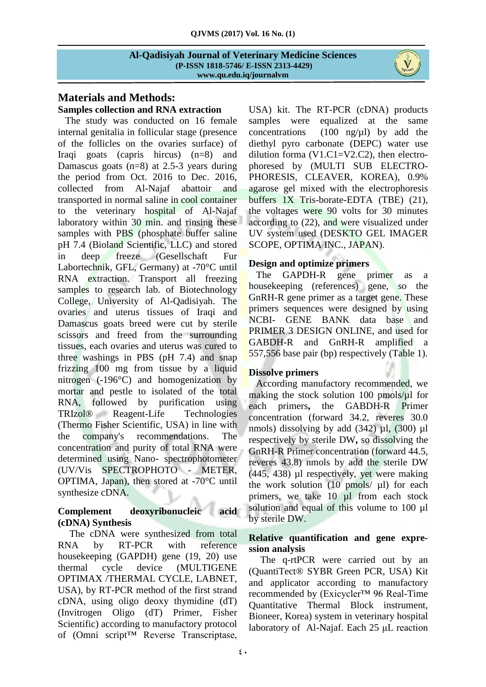# **Materials and Methods:**

**Samples collection and RNA extraction**  The study was conducted on 16 female internal genitalia in follicular stage (presence of the follicles on the ovaries surface) of Iraqi goats (capris hircus) (n=8) and Damascus goats (n=8) at 2.5-3 years during the period from Oct. 2016 to Dec. 2016, collected from Al-Najaf abattoir and transported in normal saline in cool container to the veterinary hospital of Al-Najaf laboratory within 30 min. and rinsing these samples with PBS (phosphate buffer saline pH 7.4 (Bioland Scientific, LLC) and stored in deep freeze (Gesellschaft Fur Labortechnik, GFL, Germany) at -70°C until RNA extraction. Transport all freezing samples to research lab. of Biotechnology College, University of Al-Qadisiyah. The ovaries and uterus tissues of Iraqi and Damascus goats breed were cut by sterile scissors and freed from the surrounding tissues, each ovaries and uterus was cured to three washings in PBS (pH 7.4) and snap frizzing 100 mg from tissue by a liquid nitrogen (-196°C) and homogenization by mortar and pestle to isolated of the total RNA, followed by purification using TRIzol<sup>®</sup> Reagent-Life Technologies (Thermo Fisher Scientific, USA) in line with the company's recommendations. The concentration and purity of total RNA were determined using Nano- spectrophotometer (UV/Vis SPECTROPHOTO - METER, OPTIMA, Japan), then stored at -70°C until synthesize cDNA.

# **Complement deoxyribonucleic acid (cDNA) Synthesis**

The cDNA were synthesized from total RNA by RT-PCR with reference housekeeping (GAPDH) gene (19, 20) use thermal cycle device (MULTIGENE OPTIMAX /THERMAL CYCLE, LABNET, USA), by RT-PCR method of the first strand cDNA, using oligo deoxy thymidine (dT) (Invitrogen Oligo (dT) Primer, Fisher Scientific) according to manufactory protocol of (Omni script™ Reverse Transcriptase,

USA) kit. The RT-PCR (cDNA) products samples were equalized at the same concentrations  $(100 \text{ ng/ul})$  by add the diethyl pyro carbonate (DEPC) water use dilution forma  $(V1.C1=V2.C2)$ , then electrophoresed by (MULTI SUB ELECTRO-PHORESIS, CLEAVER, KOREA), 0.9% agarose gel mixed with the electrophoresis buffers 1X Tris-borate-EDTA (TBE) (21), the voltages were 90 volts for 30 minutes according to (22), and were visualized under UV system used (DESKTO GEL IMAGER SCOPE, OPTIMA INC., JAPAN).

# **Design and optimize primers**

 The GAPDH-R gene primer as a housekeeping (references) gene, so the GnRH-R gene primer as a target gene. These primers sequences were designed by using NCBI- GENE BANK data base and PRIMER 3 DESIGN ONLINE, and used for GABDH-R and GnRH-R amplified a 557,556 base pair (bp) respectively (Table 1).

# **Dissolve primers**

 According manufactory recommended, we making the stock solution 100 pmols/ $\mu$ l for each primers**,** the GABDH-R Primer concentration (forward 34.2, reveres 30.0 nmols) dissolving by add  $(342)$  µl,  $(300)$  µl respectively by sterile DW**,** so dissolving the GnRH-R Primer concentration (forward 44.5, reveres 43.8) nmols by add the sterile DW (445, 438) µl respectively, yet were making the work solution  $(10 \text{ pmols}/ \mu l)$  for each primers, we take 10 ul from each stock solution and equal of this volume to 100 µl by sterile DW.

# **Relative quantification and gene expression analysis**

The q-rtPCR were carried out by an (QuantiTect® SYBR Green PCR, USA) Kit and applicator according to manufactory recommended by (Exicycler™ 96 Real-Time Quantitative Thermal Block instrument, Bioneer, Korea) system in veterinary hospital laboratory of Al-Najaf. Each 25 μL reaction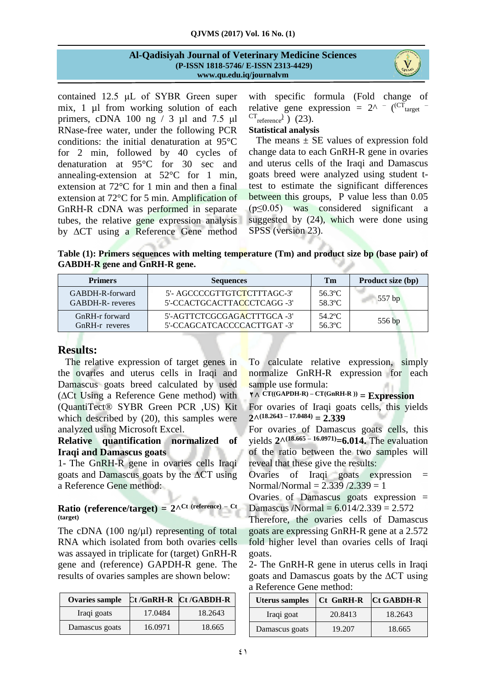contained 12.5 μL of SYBR Green super mix, 1 µl from working solution of each primers, cDNA 100 ng  $/ 3$  µl and 7.5 µl RNase-free water, under the following PCR conditions: the initial denaturation at 95°C for 2 min, followed by 40 cycles of denaturation at 95°C for 30 sec and annealing-extension at 52°C for 1 min, extension at 72°C for 1 min and then a final extension at 72°C for 5 min. Amplification of GnRH-R cDNA was performed in separate tubes, the relative gene expression analysis by ∆CT using a Reference Gene method

with specific formula (Fold change of relative gene expression =  $2^{\wedge}$  - (<sup>CT</sup><sub>target</sub> - $\text{CT}_{\text{reference}}$ ) (23).

## **Statistical analysis**

The means  $\pm$  SE values of expression fold change data to each GnRH-R gene in ovaries and uterus cells of the Iraqi and Damascus goats breed were analyzed using student ttest to estimate the significant differences between this groups, P value less than 0.05 (p≤0.05) was considered significant a suggested by (24), which were done using SPSS (version 23).

**Table (1): Primers sequences with melting temperature (Tm) and product size bp (base pair) of GABDH-R gene and GnRH-R gene.**

| <b>Primers</b>          | <b>Sequences</b>            | Tm      | Product size (bp) |  |
|-------------------------|-----------------------------|---------|-------------------|--|
| GABDH-R-forward         | 5'- AGCCCCGTTGTCTCTTTAGC-3' | 56.3°C. | $557$ bp          |  |
| <b>GABDH-R-</b> reveres | 5'-CCACTGCACTTACCCTCAGG -3' | 58.3°C  |                   |  |
| GnRH-r forward          | 5'-AGTTCTCGCGAGACTTTGCA -3' | 54.2°C  | 556 bp            |  |
| GnRH-r reveres          | 5'-CCAGCATCACCCCACTTGAT-3'  | 56.3°C  |                   |  |

# **Results:**

 The relative expression of target genes in the ovaries and uterus cells in Iraqi and Damascus goats breed calculated by used (∆Ct Using a Reference Gene method) with (QuantiTect® SYBR Green PCR ,US) Kit which described by (20), this samples were analyzed using Microsoft Excel.

### **Relative quantification normalized of Iraqi and Damascus goats**

1- The GnRH-R gene in ovaries cells Iraqi goats and Damascus goats by the ∆CT using a Reference Gene method:

# **Ratio (reference/target) = 2^ Ct (reference) – Ct (target)**

The cDNA  $(100 \text{ ng}/\mu l)$  representing of total RNA which isolated from both ovaries cells was assayed in triplicate for (target) GnRH-R gene and (reference) GAPDH-R gene. The results of ovaries samples are shown below:

| <b>Ovaries sample</b> |         | Ct/GnRH-R Ct/GABDH-R |
|-----------------------|---------|----------------------|
| Iraqi goats           | 17.0484 | 18.2643              |
| Damascus goats        | 16.0971 | 18.665               |

To calculate relative expression, simply normalize GnRH-R expression for each sample use formula:

**2^ CT((GAPDH-R) – CT(GnRH-R )) = Expression**

For ovaries of Iraqi goats cells, this yields **2^ (18.2643 – 17.0484) = 2.339**

For ovaries of Damascus goats cells, this yields **2^ (18.665 – 16.0971)=6.014.** The evaluation of the ratio between the two samples will reveal that these give the results*:*

Ovaries of Iraqi goats expression = Normal/Normal =  $2.339 / 2.339 = 1$ 

Ovaries of Damascus goats expression = Damascus /Normal =  $6.014/2.339 = 2.572$ 

Therefore, the ovaries cells of Damascus goats are expressing GnRH-R gene at a 2.572 fold higher level than ovaries cells of Iraqi goats.

2- The GnRH-R gene in uterus cells in Iraqi goats and Damascus goats by the ∆CT using a Reference Gene method:

| <b>Uterus samples</b> | Ct GnRH-R | <b>Ct GABDH-R</b> |  |  |
|-----------------------|-----------|-------------------|--|--|
| Iraqi goat            | 20.8413   | 18.2643           |  |  |
| Damascus goats        | 19.207    | 18.665            |  |  |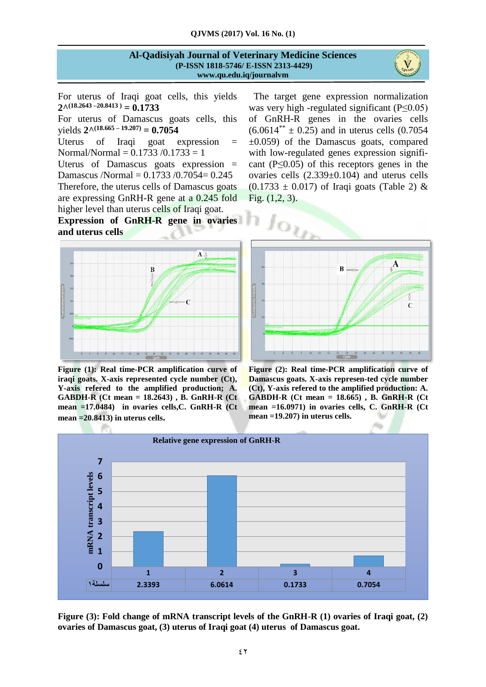

Y.

For uterus of Iraqi goat cells, this yields  $2^{\wedge}$ (18.2643 –20.8413) = 0.1733

For uterus of Damascus goats cells, this  $yields$   $2^{\wedge}$ (18.665 – 19.207) = **0.7054** 

Uterus of Iraqi goat expression = Normal/Normal =  $0.1733 / 0.1733 = 1$ 

Uterus of Damascus goats expression = Damascus /Normal = 0.1733 /0.7054= 0.245 Therefore, the uterus cells of Damascus goats are expressing GnRH-R gene at a 0.245 fold higher level than uterus cells of Iraqi goat.

**Expression of GnRH-R gene in ovaries and uterus cells** 



**Figure (1): Real time-PCR amplification curve of iraqi goats. X-axis represented cycle number (Ct), Y-axis refered to the amplified production; A. GABDH-R (Ct mean = 18.2643) , B. GnRH-R (Ct mean =17.0484) in ovaries cells,C. GnRH-R (Ct mean =20.8413) in uterus cells.**

 The target gene expression normalization was very high -regulated significant (P≤0.05) of GnRH-R genes in the ovaries cells  $(6.0614^{**} \pm 0.25)$  and in uterus cells  $(0.7054)$  $\pm 0.059$  of the Damascus goats, compared with low-regulated genes expression significant  $(P \le 0.05)$  of this receptors genes in the ovaries cells (2.339±0.104) and uterus cells  $(0.1733 \pm 0.017)$  of Iraqi goats (Table 2) & Fig. (1,2, 3).



**Figure (2): Real time-PCR amplification curve of Damascus goats. X-axis represen-ted cycle number (Ct), Y-axis refered to the amplified production: A. GABDH-R (Ct mean = 18.665) , B. GnRH-R (Ct mean =16.0971) in ovaries cells, C. GnRH-R (Ct mean =19.207) in uterus cells.**



**Figure (3): Fold change of mRNA transcript levels of the GnRH-R (1) ovaries of Iraqi goat, (2) ovaries of Damascus goat, (3) uterus of Iraqi goat (4) uterus of Damascus goat.**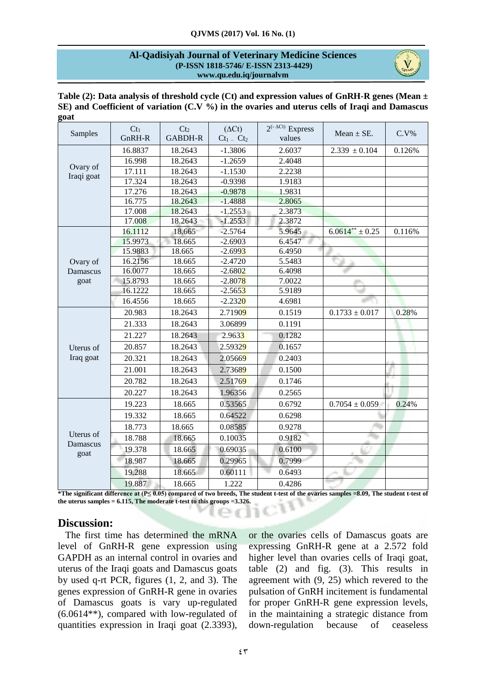

| Table (2): Data analysis of threshold cycle (Ct) and expression values of GnRH-R genes (Mean $\pm$ |  |
|----------------------------------------------------------------------------------------------------|--|
| SE) and Coefficient of variation (C.V $\%$ ) in the ovaries and uterus cells of Iraqi and Damascus |  |
| goat                                                                                               |  |

| Samples                       | $Ct_1$  | Ct <sub>2</sub> | $(\Delta Ct)$ | $2^{(-\Delta Ct)}$ Express | Mean $\pm$ SE.      | $C.V\%$ |
|-------------------------------|---------|-----------------|---------------|----------------------------|---------------------|---------|
|                               | GnRH-R  | <b>GABDH-R</b>  | $Ct_1 - Ct_2$ | values                     |                     |         |
| Ovary of                      | 16.8837 | 18.2643         | $-1.3806$     | 2.6037                     | $2.339 \pm 0.104$   | 0.126%  |
|                               | 16.998  | 18.2643         | $-1.2659$     | 2.4048                     |                     |         |
|                               | 17.111  | 18.2643         | $-1.1530$     | 2.2238                     |                     |         |
| Iraqi goat                    | 17.324  | 18.2643         | $-0.9398$     | 1.9183                     |                     |         |
|                               | 17.276  | 18.2643         | $-0.9878$     | 1.9831                     |                     |         |
|                               | 16.775  | 18.2643         | $-1.4888$     | 2.8065                     |                     |         |
|                               | 17.008  | 18.2643         | $-1.2553$     | 2.3873                     |                     |         |
|                               | 17.008  | 18.2643         | $-1.2553$     | 2.3872                     |                     |         |
|                               | 16.1112 | 18.665          | $-2.5764$     | 5.9645                     | $6.0614** \pm 0.25$ | 0.116%  |
|                               | 15.9973 | 18.665          | $-2.6903$     | 6.4547                     |                     |         |
|                               | 15.9883 | 18.665          | $-2.6993$     | 6.4950                     |                     |         |
| Ovary of                      | 16.2156 | 18.665          | $-2.4720$     | 5.5483                     |                     |         |
| <b>Damascus</b>               | 16.0077 | 18.665          | $-2.6802$     | 6.4098                     |                     |         |
| goat                          | 15.8793 | 18.665          | $-2.8078$     | 7.0022                     |                     |         |
|                               | 16.1222 | 18.665          | $-2.5653$     | 5.9189                     |                     |         |
|                               | 16.4556 | 18.665          | $-2.2320$     | 4.6981                     |                     |         |
|                               | 20.983  | 18.2643         | 2.71909       | 0.1519                     | $0.1733 \pm 0.017$  | 0.28%   |
|                               | 21.333  | 18.2643         | 3.06899       | 0.1191                     |                     |         |
|                               | 21.227  | 18.2643         | 2.9633        | 0.1282                     |                     |         |
| Uterus of                     | 20.857  | 18.2643         | 2.59329       | 0.1657                     |                     |         |
| Iraq goat                     | 20.321  | 18.2643         | 2.05669       | 0.2403                     |                     |         |
|                               | 21.001  | 18.2643         | 2.73689       | 0.1500                     |                     |         |
|                               | 20.782  | 18.2643         | 2.51769       | 0.1746                     |                     |         |
|                               | 20.227  | 18.2643         | 1.96356       | 0.2565                     |                     |         |
| Uterus of<br>Damascus<br>goat | 19.223  | 18.665          | 0.53565       | 0.6792                     | $0.7054 \pm 0.059$  | 0.24%   |
|                               | 19.332  | 18.665          | 0.64522       | 0.6298                     |                     |         |
|                               | 18.773  | 18.665          | 0.08585       | 0.9278                     |                     |         |
|                               | 18.788  | 18.665          | 0.10035       | 0.9182                     |                     |         |
|                               | 19.378  | 18.665          | 0.69035       | 0.6100                     |                     |         |
|                               | 18.987  | 18.665          | 0.29965       | 0.7999                     |                     |         |
|                               | 19.288  | 18.665          | 0.60111       | 0.6493                     |                     |         |
|                               | 19.887  | 18.665          | 1.222         | 0.4286                     |                     |         |

**\*The significant difference at (P≤ 0.05) compared of two breeds, The student t-test of the ovaries samples =8.09, The student t-test of the uterus samples = 6.115, The moderate t-test to this groups =3.326.**

# **Discussion:**

 The first time has determined the mRNA level of GnRH-R gene expression using GAPDH as an internal control in ovaries and uterus of the Iraqi goats and Damascus goats by used q-rt PCR, figures (1, 2, and 3). The genes expression of GnRH-R gene in ovaries of Damascus goats is vary up-regulated (6.0614\*\*), compared with low-regulated of quantities expression in Iraqi goat (2.3393), or the ovaries cells of Damascus goats are expressing GnRH-R gene at a 2.572 fold higher level than ovaries cells of Iraqi goat, table (2) and fig. (3). This results in agreement with (9, 25) which revered to the pulsation of GnRH incitement is fundamental for proper GnRH-R gene expression levels, in the maintaining a strategic distance from down-regulation because of ceaseless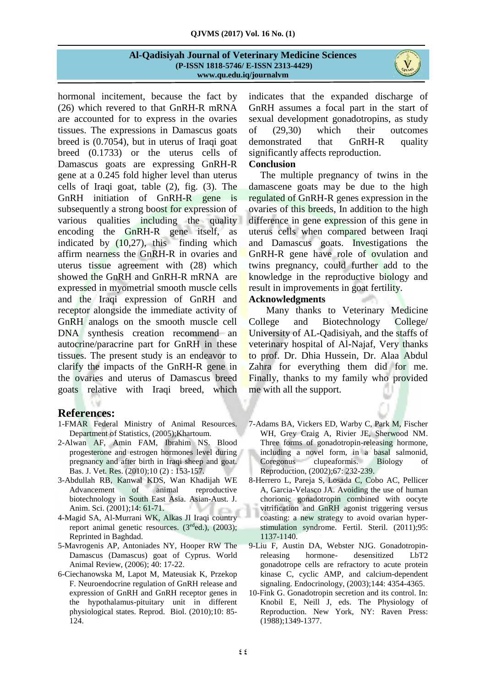

hormonal incitement, because the fact by (26) which revered to that GnRH*-*R mRNA are accounted for to express in the ovaries tissues. The expressions in Damascus goats breed is (0.7054), but in uterus of Iraqi goat breed (0.1733) or the uterus cells of Damascus goats are expressing GnRH-R gene at a 0.245 fold higher level than uterus cells of Iraqi goat, table (2), fig. (3). The GnRH initiation of GnRH-R gene is subsequently a strong boost for expression of various qualities including the quality encoding the GnRH-R gene itself, as indicated by (10,27), this finding which affirm nearness the GnRH-R in ovaries and uterus tissue agreement with (28) which showed the GnRH and GnRH-R mRNA are expressed in myometrial smooth muscle cells and the Iraqi expression of GnRH and receptor alongside the immediate activity of GnRH analogs on the smooth muscle cell DNA synthesis creation recommend an autocrine/paracrine part for GnRH in these tissues. The present study is an endeavor to clarify the impacts of the GnRH-R gene in the ovaries and uterus of Damascus breed goats relative with Iraqi breed, which

### **References:**

- 1-FMAR Federal Ministry of Animal Resources. Department of Statistics, (2005);Khartoum.
- 2-Alwan AF, Amin FAM, Ibrahim NS. Blood progesterone and estrogen hormones level during pregnancy and after birth in Iraqi sheep and goat. Bas. J. Vet. Res. (2010);10 (2) : 153-157.
- 3-Abdullah RB, Kanwal KDS, Wan Khadijah WE Advancement of animal reproductive biotechnology in South East Asia. Asian-Aust. J. Anim. Sci. (2001);14: 61-71.
- 4-Magid SA, Al-Murrani WK, Alkas JI Iraqi country report animal genetic resources. (3<sup>ed</sup>ed.), (2003); Reprinted in Baghdad.
- 5-Mavrogenis AP, Antoniades NY, Hooper RW The Damascus (Damascus) goat of Cyprus. World Animal Review, (2006); 40: 17-22.
- 6-Ciechanowska M, Lapot M, Mateusiak K, Przekop F. Neuroendocrine regulation of GnRH release and expression of GnRH and GnRH receptor genes in the hypothalamus-pituitary unit in different physiological states. Reprod. Biol. (2010);10: 85- 124.

indicates that the expanded discharge of GnRH assumes a focal part in the start of sexual development gonadotropins, as study of (29,30) which their outcomes demonstrated that GnRH-R quality significantly affects reproduction.

## **Conclusion**

The multiple pregnancy of twins in the damascene goats may be due to the high regulated of GnRH-R genes expression in the ovaries of this breeds, In addition to the high difference in gene expression of this gene in uterus cells when compared between Iraqi and Damascus goats. Investigations the GnRH-R gene have role of ovulation and twins pregnancy, could further add to the knowledge in the reproductive biology and result in improvements in goat fertility.

### **Acknowledgments**

Many thanks to Veterinary Medicine College and Biotechnology College/ University of AL-Qadisiyah, and the staffs of veterinary hospital of Al-Najaf, Very thanks to prof. Dr. Dhia Hussein, Dr. Alaa Abdul Zahra for everything them did for me. Finally, thanks to my family who provided me with all the support.

- 7-Adams BA, Vickers ED, Warby C, Park M, Fischer WH, Grey Craig A, Rivier JE, Sherwood NM. Three forms of gonadotropin-releasing hormone, including a novel form, in a basal salmonid, Coregonus clupeaformis. Biology of Reproduction, (2002);67: 232-239.
- 8-Herrero L, Pareja S, Losada C, Cobo AC, Pellicer A, Garcia-Velasco JA. Avoiding the use of human chorionic gonadotropin combined with oocyte vitrification and GnRH agonist triggering versus coasting: a new strategy to avoid ovarian hyperstimulation syndrome. Fertil. Steril. (2011);95: 1137-1140.
- 9-Liu F, Austin DA, Webster NJG. Gonadotropinreleasing hormone- desensitized LbT2 gonadotrope cells are refractory to acute protein kinase C, cyclic AMP, and calcium-dependent signaling. Endocrinology, (2003);144: 4354-4365.
- 10-Fink G. Gonadotropin secretion and its control. In: Knobil E, Neill J, eds. The Physiology of Reproduction. New York, NY: Raven Press: (1988);1349-1377.